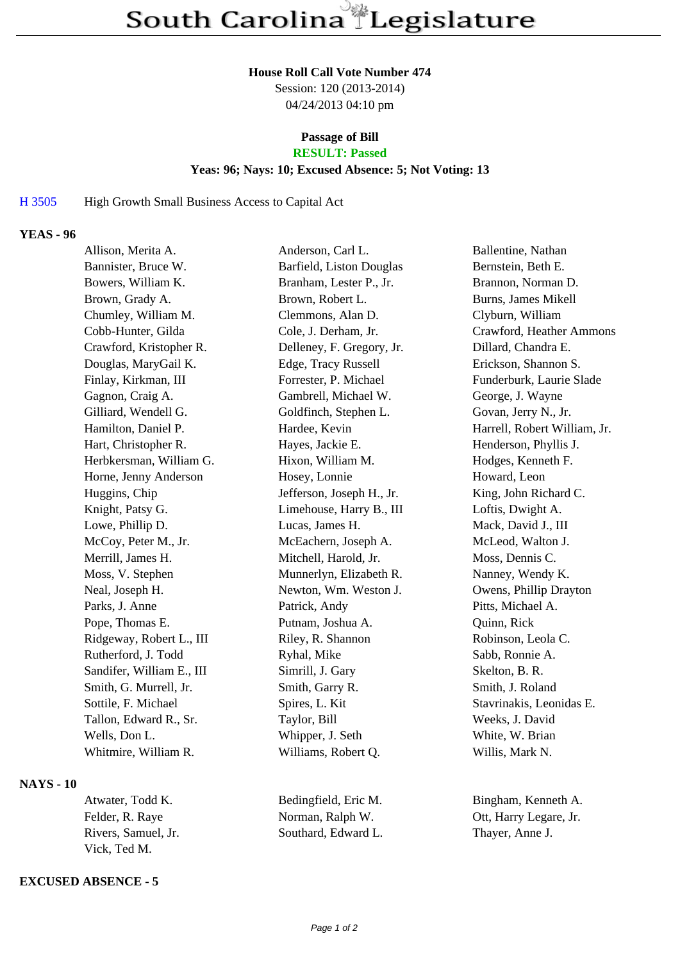#### **House Roll Call Vote Number 474**

Session: 120 (2013-2014) 04/24/2013 04:10 pm

# **Passage of Bill**

# **RESULT: Passed**

## **Yeas: 96; Nays: 10; Excused Absence: 5; Not Voting: 13**

## H 3505 High Growth Small Business Access to Capital Act

# **YEAS - 96**

| Allison, Merita A.        | Anderson, Carl L.         | Ballentine, Nathan           |
|---------------------------|---------------------------|------------------------------|
| Bannister, Bruce W.       | Barfield, Liston Douglas  | Bernstein, Beth E.           |
| Bowers, William K.        | Branham, Lester P., Jr.   | Brannon, Norman D.           |
| Brown, Grady A.           | Brown, Robert L.          | Burns, James Mikell          |
| Chumley, William M.       | Clemmons, Alan D.         | Clyburn, William             |
| Cobb-Hunter, Gilda        | Cole, J. Derham, Jr.      | Crawford, Heather Ammons     |
| Crawford, Kristopher R.   | Delleney, F. Gregory, Jr. | Dillard, Chandra E.          |
| Douglas, MaryGail K.      | Edge, Tracy Russell       | Erickson, Shannon S.         |
| Finlay, Kirkman, III      | Forrester, P. Michael     | Funderburk, Laurie Slade     |
| Gagnon, Craig A.          | Gambrell, Michael W.      | George, J. Wayne             |
| Gilliard, Wendell G.      | Goldfinch, Stephen L.     | Govan, Jerry N., Jr.         |
| Hamilton, Daniel P.       | Hardee, Kevin             | Harrell, Robert William, Jr. |
| Hart, Christopher R.      | Hayes, Jackie E.          | Henderson, Phyllis J.        |
| Herbkersman, William G.   | Hixon, William M.         | Hodges, Kenneth F.           |
| Horne, Jenny Anderson     | Hosey, Lonnie             | Howard, Leon                 |
| Huggins, Chip             | Jefferson, Joseph H., Jr. | King, John Richard C.        |
| Knight, Patsy G.          | Limehouse, Harry B., III  | Loftis, Dwight A.            |
| Lowe, Phillip D.          | Lucas, James H.           | Mack, David J., III          |
| McCoy, Peter M., Jr.      | McEachern, Joseph A.      | McLeod, Walton J.            |
| Merrill, James H.         | Mitchell, Harold, Jr.     | Moss, Dennis C.              |
| Moss, V. Stephen          | Munnerlyn, Elizabeth R.   | Nanney, Wendy K.             |
| Neal, Joseph H.           | Newton, Wm. Weston J.     | Owens, Phillip Drayton       |
| Parks, J. Anne            | Patrick, Andy             | Pitts, Michael A.            |
| Pope, Thomas E.           | Putnam, Joshua A.         | Quinn, Rick                  |
| Ridgeway, Robert L., III  | Riley, R. Shannon         | Robinson, Leola C.           |
| Rutherford, J. Todd       | Ryhal, Mike               | Sabb, Ronnie A.              |
| Sandifer, William E., III | Simrill, J. Gary          | Skelton, B. R.               |
| Smith, G. Murrell, Jr.    | Smith, Garry R.           | Smith, J. Roland             |
| Sottile, F. Michael       | Spires, L. Kit            | Stavrinakis, Leonidas E.     |
| Tallon, Edward R., Sr.    | Taylor, Bill              | Weeks, J. David              |
| Wells, Don L.             | Whipper, J. Seth          | White, W. Brian              |
| Whitmire, William R.      | Williams, Robert Q.       | Willis, Mark N.              |
|                           |                           |                              |

#### **NAYS - 10**

| Atwater, Todd K.    | Bedingfield  |
|---------------------|--------------|
| Felder, R. Raye     | Norman, Ra   |
| Rivers. Samuel. Jr. | Southard, E. |
| Vick, Ted M.        |              |

#### **EXCUSED ABSENCE - 5**

| Bedingfield, Eric M. |  |  |
|----------------------|--|--|
| Norman, Ralph W.     |  |  |
| Southard, Edward L.  |  |  |

Bingham, Kenneth A. Ott, Harry Legare, Jr. Thayer, Anne J.